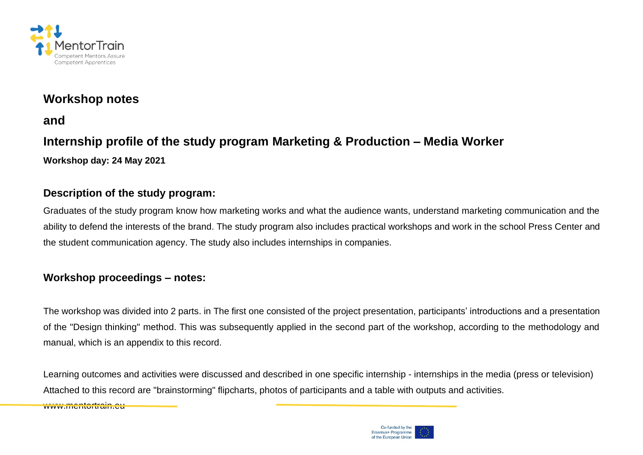

## **Workshop notes**

**and**

# **Internship profile of the study program Marketing & Production – Media Worker Workshop day: 24 May 2021**

#### **Description of the study program:**

Graduates of the study program know how marketing works and what the audience wants, understand marketing communication and the ability to defend the interests of the brand. The study program also includes practical workshops and work in the school Press Center and the student communication agency. The study also includes internships in companies.

### **Workshop proceedings – notes:**

The workshop was divided into 2 parts. in The first one consisted of the project presentation, participants' introductions and a presentation of the "Design thinking" method. This was subsequently applied in the second part of the workshop, according to the methodology and manual, which is an appendix to this record.

Learning outcomes and activities were discussed and described in one specific internship - internships in the media (press or television) Attached to this record are "brainstorming" flipcharts, photos of participants and a table with outputs and activities.

www.mentortrain.eu